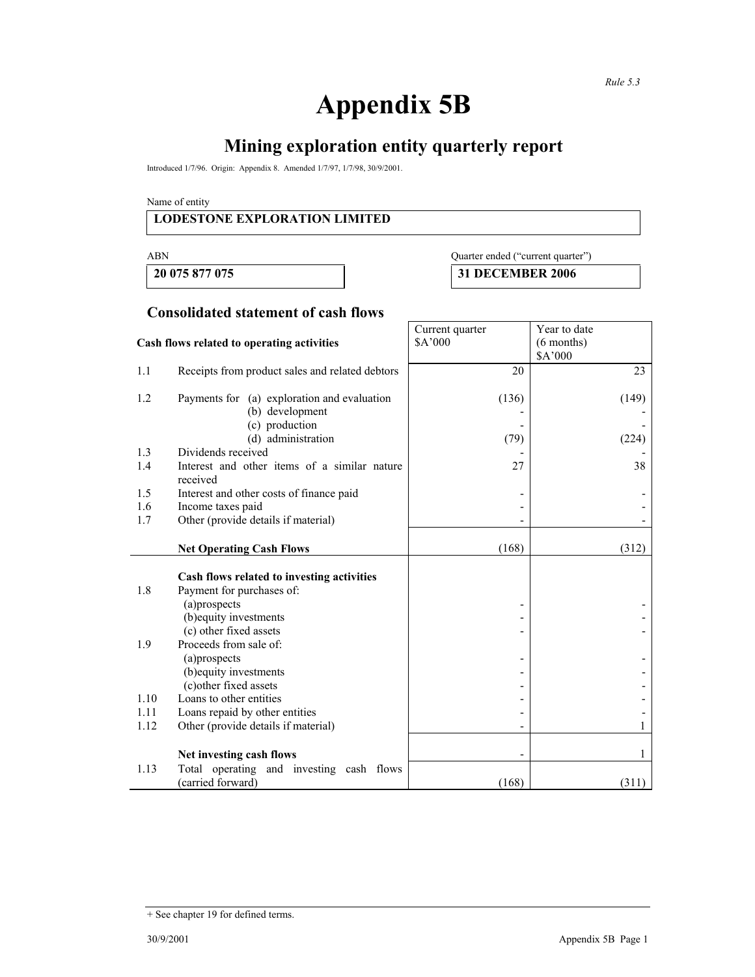# **Appendix 5B**

## **Mining exploration entity quarterly report**

Introduced 1/7/96. Origin: Appendix 8. Amended 1/7/97, 1/7/98, 30/9/2001.

Name of entity

#### **LODESTONE EXPLORATION LIMITED**

 **20 075 877 075 31 DECEMBER 2006** 

### ABN Quarter ended ("current quarter")

#### **Consolidated statement of cash flows**

|                                            |                                                                | Current quarter | Year to date            |
|--------------------------------------------|----------------------------------------------------------------|-----------------|-------------------------|
| Cash flows related to operating activities |                                                                | \$A'000         | $(6$ months)<br>\$A'000 |
| 1.1                                        | Receipts from product sales and related debtors                | 20              | 23                      |
| 1.2                                        | Payments for (a) exploration and evaluation<br>(b) development | (136)           | (149)                   |
|                                            | (c) production                                                 |                 |                         |
| 1.3                                        | (d) administration<br>Dividends received                       | (79)            | (224)                   |
| 1.4                                        | Interest and other items of a similar nature<br>received       | 27              | 38                      |
| 1.5                                        | Interest and other costs of finance paid                       |                 |                         |
| 1.6                                        | Income taxes paid                                              |                 |                         |
| 1.7                                        | Other (provide details if material)                            |                 |                         |
|                                            | <b>Net Operating Cash Flows</b>                                | (168)           | (312)                   |
|                                            | Cash flows related to investing activities                     |                 |                         |
| 1.8                                        | Payment for purchases of:                                      |                 |                         |
|                                            | (a)prospects                                                   |                 |                         |
|                                            | (b) equity investments<br>(c) other fixed assets               |                 |                         |
| 1.9                                        | Proceeds from sale of:                                         |                 |                         |
|                                            | (a)prospects                                                   |                 |                         |
|                                            | (b) equity investments                                         |                 |                         |
|                                            | (c) other fixed assets                                         |                 |                         |
| 1.10                                       | Loans to other entities                                        |                 |                         |
| 1.11                                       | Loans repaid by other entities                                 |                 |                         |
| 1.12                                       | Other (provide details if material)                            |                 |                         |
|                                            | Net investing cash flows                                       |                 | 1                       |
| 1.13                                       | Total operating and investing cash flows<br>(carried forward)  | (168)           | (311)                   |

<sup>+</sup> See chapter 19 for defined terms.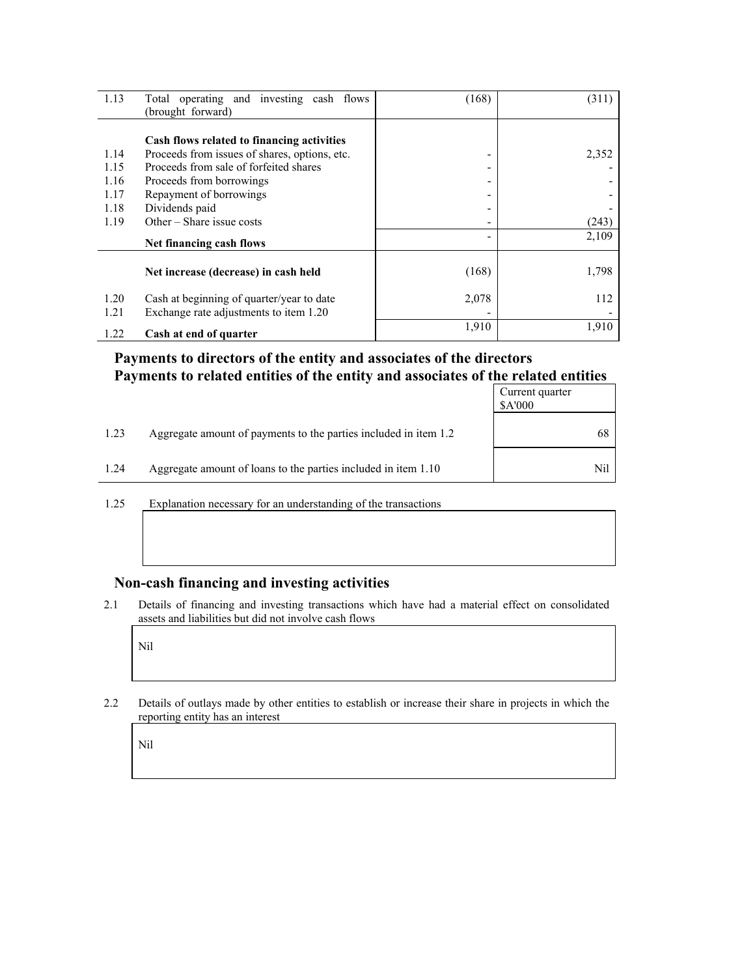| 1.13         | Total operating and investing cash flows                                            | (168) | (311) |
|--------------|-------------------------------------------------------------------------------------|-------|-------|
|              | (brought forward)                                                                   |       |       |
|              | Cash flows related to financing activities                                          |       |       |
| 1.14         | Proceeds from issues of shares, options, etc.                                       | ۰     | 2,352 |
| 1.15         | Proceeds from sale of forfeited shares                                              | -     |       |
| 1.16         | Proceeds from borrowings                                                            | -     |       |
| 1.17         | Repayment of borrowings                                                             |       |       |
| 1.18         | Dividends paid                                                                      |       |       |
| 1.19         | Other $-$ Share issue costs                                                         |       | (243) |
|              | Net financing cash flows                                                            |       | 2,109 |
|              | Net increase (decrease) in cash held                                                | (168) | 1,798 |
| 1.20<br>1.21 | Cash at beginning of quarter/year to date<br>Exchange rate adjustments to item 1.20 | 2,078 | 112   |
| 1.22         | Cash at end of quarter                                                              | 1,910 | 1,910 |

#### **Payments to directors of the entity and associates of the directors Payments to related entities of the entity and associates of the related entities**

|      |                                                                  | Current quarter<br>\$A'000 |
|------|------------------------------------------------------------------|----------------------------|
| 1.23 | Aggregate amount of payments to the parties included in item 1.2 | 68                         |
| 1.24 | Aggregate amount of loans to the parties included in item 1.10   | Nil                        |

1.25 Explanation necessary for an understanding of the transactions

#### **Non-cash financing and investing activities**

2.1 Details of financing and investing transactions which have had a material effect on consolidated assets and liabilities but did not involve cash flows

Nil

2.2 Details of outlays made by other entities to establish or increase their share in projects in which the reporting entity has an interest

Nil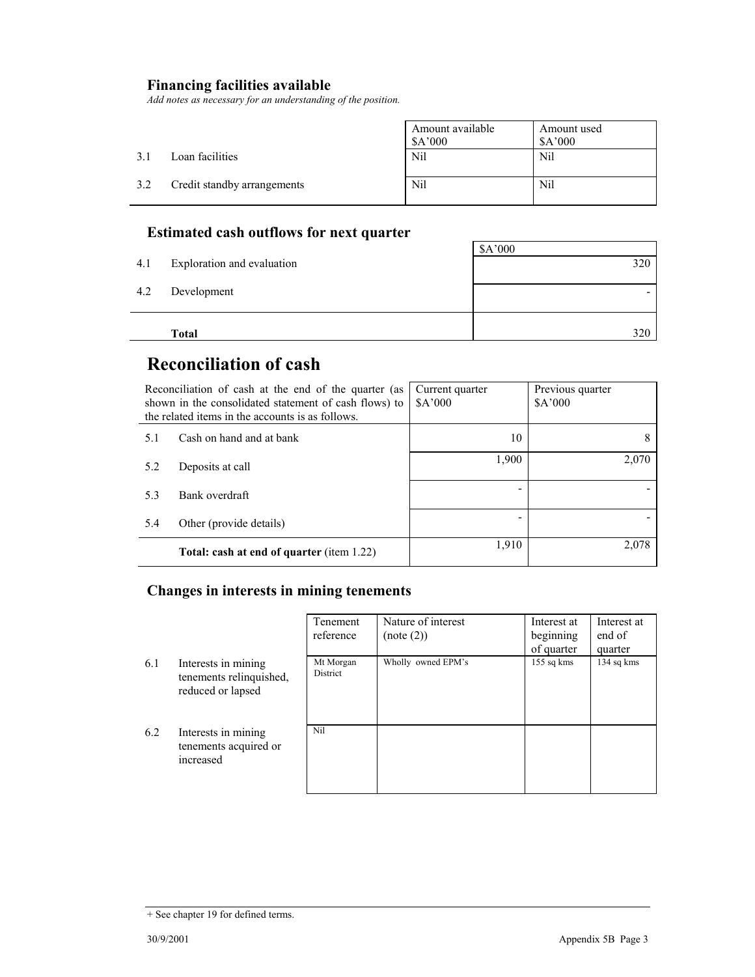### **Financing facilities available**

*Add notes as necessary for an understanding of the position.* 

|     |                             | Amount available<br>\$A'000 | Amount used<br>\$A'000 |
|-----|-----------------------------|-----------------------------|------------------------|
| 3.J | Loan facilities             | Nil                         | Nil                    |
| 3.2 | Credit standby arrangements | Nil                         | Nil                    |

### **Estimated cash outflows for next quarter**

|     | Total                      | 320     |
|-----|----------------------------|---------|
|     |                            |         |
| 4.2 | Development                |         |
| 4.1 | Exploration and evaluation | 320     |
|     |                            | \$A'000 |

### **Reconciliation of cash**

| Reconciliation of cash at the end of the quarter (as<br>shown in the consolidated statement of cash flows) to<br>the related items in the accounts is as follows. |                                                  | Current quarter<br>A'000 | Previous quarter<br>\$A'000 |
|-------------------------------------------------------------------------------------------------------------------------------------------------------------------|--------------------------------------------------|--------------------------|-----------------------------|
| 5.1                                                                                                                                                               | Cash on hand and at bank                         | 10                       | 8                           |
| 5.2                                                                                                                                                               | Deposits at call                                 | 1,900                    | 2,070                       |
| 5.3                                                                                                                                                               | Bank overdraft                                   |                          |                             |
| 5.4                                                                                                                                                               | Other (provide details)                          |                          |                             |
|                                                                                                                                                                   | <b>Total: cash at end of quarter (item 1.22)</b> | 1,910                    | 2,078                       |

#### **Changes in interests in mining tenements**

|     |                                                                     | Tenement<br>reference | Nature of interest<br>(note (2)) | Interest at<br>beginning | Interest at<br>end of |
|-----|---------------------------------------------------------------------|-----------------------|----------------------------------|--------------------------|-----------------------|
|     |                                                                     |                       |                                  | of quarter               | quarter               |
| 6.1 | Interests in mining<br>tenements relinquished,<br>reduced or lapsed | Mt Morgan<br>District | Wholly owned EPM's               | $155$ sq kms             | 134 sq kms            |
| 6.2 | Interests in mining<br>tenements acquired or<br>increased           | Nil                   |                                  |                          |                       |

<sup>+</sup> See chapter 19 for defined terms.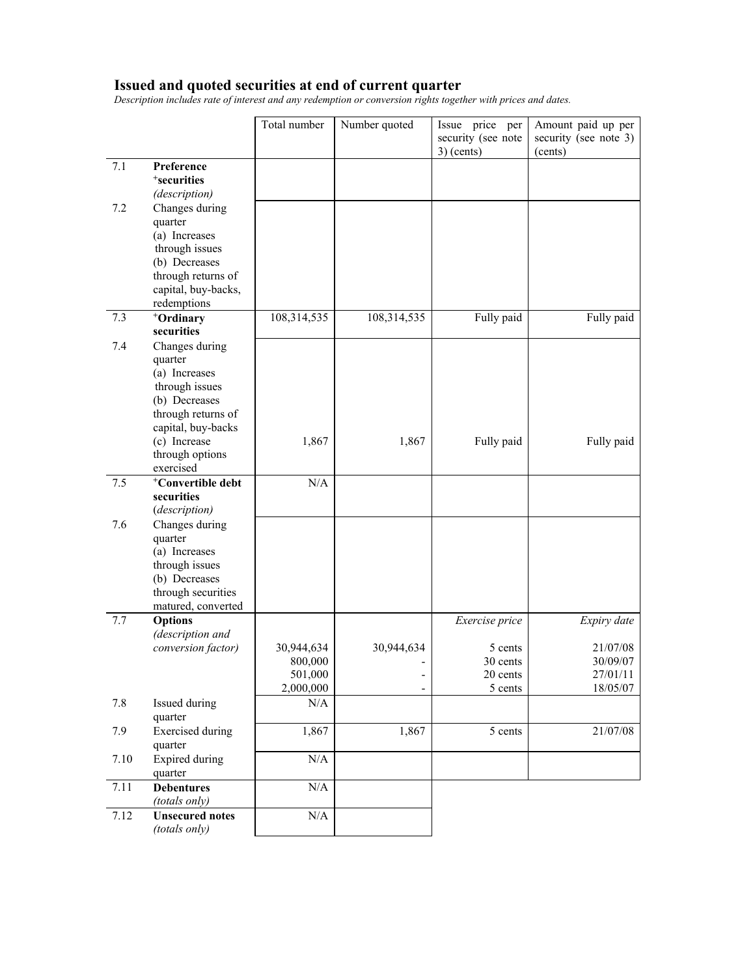#### **Issued and quoted securities at end of current quarter**

*Description includes rate of interest and any redemption or conversion rights together with prices and dates.* 

|      |                                    | Total number       | Number quoted            | Issue price per<br>security (see note<br>$3)$ (cents) | Amount paid up per<br>security (see note 3)<br>(cents) |
|------|------------------------------------|--------------------|--------------------------|-------------------------------------------------------|--------------------------------------------------------|
| 7.1  | Preference                         |                    |                          |                                                       |                                                        |
|      | <sup>+</sup> securities            |                    |                          |                                                       |                                                        |
|      | (description)                      |                    |                          |                                                       |                                                        |
| 7.2  | Changes during                     |                    |                          |                                                       |                                                        |
|      | quarter                            |                    |                          |                                                       |                                                        |
|      | (a) Increases                      |                    |                          |                                                       |                                                        |
|      | through issues                     |                    |                          |                                                       |                                                        |
|      | (b) Decreases                      |                    |                          |                                                       |                                                        |
|      | through returns of                 |                    |                          |                                                       |                                                        |
|      | capital, buy-backs,                |                    |                          |                                                       |                                                        |
|      | redemptions                        |                    |                          |                                                       |                                                        |
| 7.3  | <sup>+</sup> Ordinary              | 108,314,535        | 108,314,535              | Fully paid                                            | Fully paid                                             |
|      | securities                         |                    |                          |                                                       |                                                        |
| 7.4  | Changes during                     |                    |                          |                                                       |                                                        |
|      | quarter                            |                    |                          |                                                       |                                                        |
|      | (a) Increases                      |                    |                          |                                                       |                                                        |
|      | through issues                     |                    |                          |                                                       |                                                        |
|      | (b) Decreases                      |                    |                          |                                                       |                                                        |
|      | through returns of                 |                    |                          |                                                       |                                                        |
|      | capital, buy-backs                 |                    |                          |                                                       |                                                        |
|      | (c) Increase                       | 1,867              | 1,867                    | Fully paid                                            | Fully paid                                             |
|      | through options                    |                    |                          |                                                       |                                                        |
|      | exercised                          |                    |                          |                                                       |                                                        |
| 7.5  | <sup>+</sup> Convertible debt      | N/A                |                          |                                                       |                                                        |
|      | securities                         |                    |                          |                                                       |                                                        |
|      | (description)                      |                    |                          |                                                       |                                                        |
| 7.6  | Changes during                     |                    |                          |                                                       |                                                        |
|      | quarter                            |                    |                          |                                                       |                                                        |
|      | (a) Increases                      |                    |                          |                                                       |                                                        |
|      | through issues                     |                    |                          |                                                       |                                                        |
|      | (b) Decreases                      |                    |                          |                                                       |                                                        |
|      | through securities                 |                    |                          |                                                       |                                                        |
|      | matured, converted                 |                    |                          |                                                       |                                                        |
| 7.7  | <b>Options</b>                     |                    |                          | Exercise price                                        | Expiry date                                            |
|      | (description and                   |                    |                          |                                                       |                                                        |
|      | conversion factor)                 | 30,944,634         | 30,944,634               | 5 cents<br>30 cents                                   | 21/07/08                                               |
|      |                                    | 800,000<br>501,000 |                          | 20 cents                                              | 30/09/07<br>27/01/11                                   |
|      |                                    | 2,000,000          | $\overline{\phantom{0}}$ | 5 cents                                               | 18/05/07                                               |
| 7.8  | Issued during                      | N/A                |                          |                                                       |                                                        |
|      | quarter                            |                    |                          |                                                       |                                                        |
| 7.9  | <b>Exercised</b> during<br>quarter | 1,867              | 1,867                    | 5 cents                                               | 21/07/08                                               |
| 7.10 | <b>Expired during</b><br>quarter   | N/A                |                          |                                                       |                                                        |
| 7.11 | <b>Debentures</b>                  | $\rm N/A$          |                          |                                                       |                                                        |
|      | (totals only)                      |                    |                          |                                                       |                                                        |
| 7.12 | <b>Unsecured notes</b>             | $\rm N/A$          |                          |                                                       |                                                        |
|      | (totals only)                      |                    |                          |                                                       |                                                        |
|      |                                    |                    |                          |                                                       |                                                        |